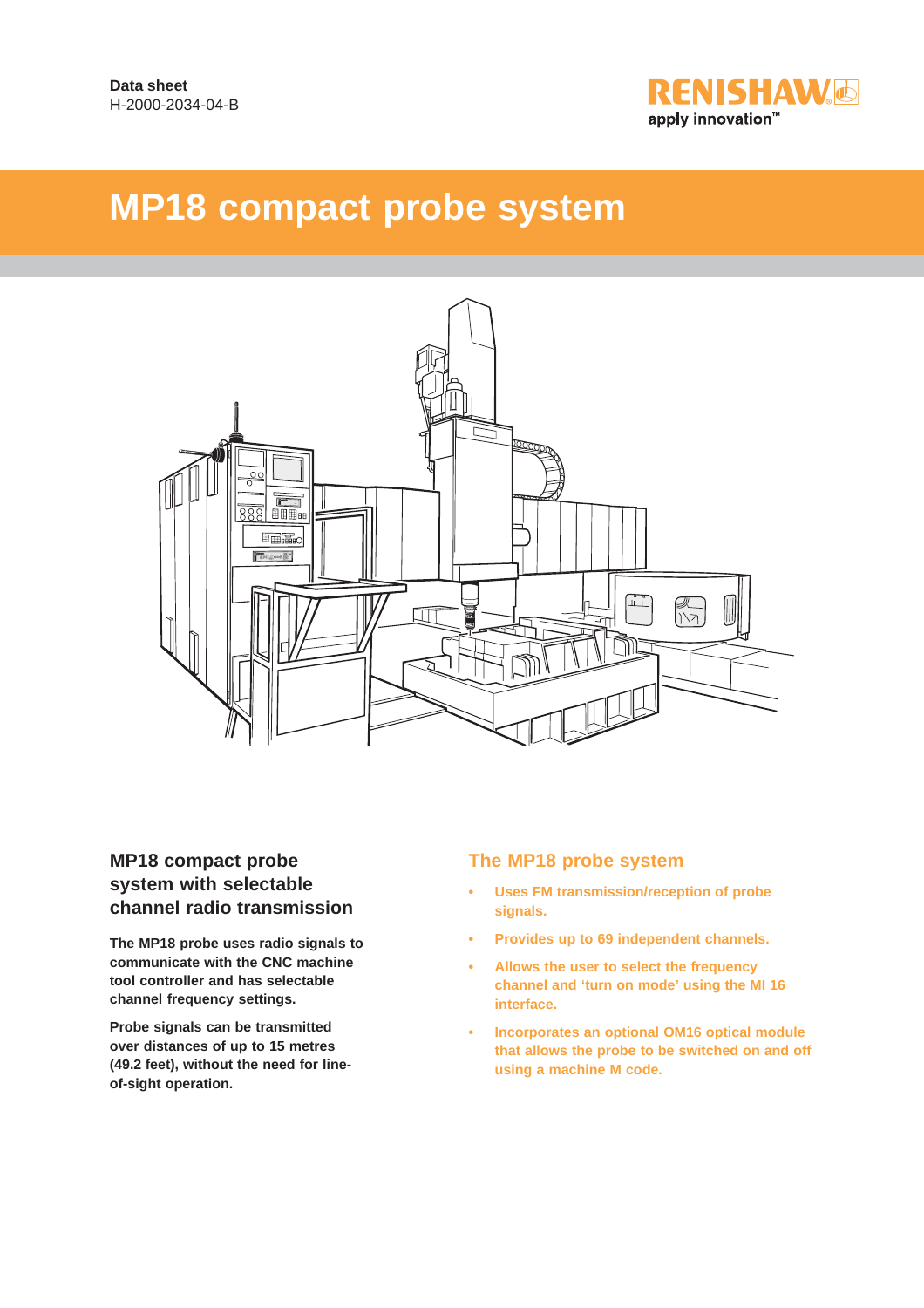

# **MP18 compact probe system**



### **MP18 compact probe system with selectable channel radio transmission**

**The MP18 probe uses radio signals to communicate with the CNC machine tool controller and has selectable channel frequency settings.**

**Probe signals can be transmitted over distances of up to 15 metres (49.2 feet), without the need for lineof-sight operation.**

### **The MP18 probe system**

- **Uses FM transmission/reception of probe signals.**
- **Provides up to 69 independent channels.**
- **Allows the user to select the frequency channel and 'turn on mode' using the MI 16 interface.**
- **Incorporates an optional OM16 optical module that allows the probe to be switched on and off using a machine M code.**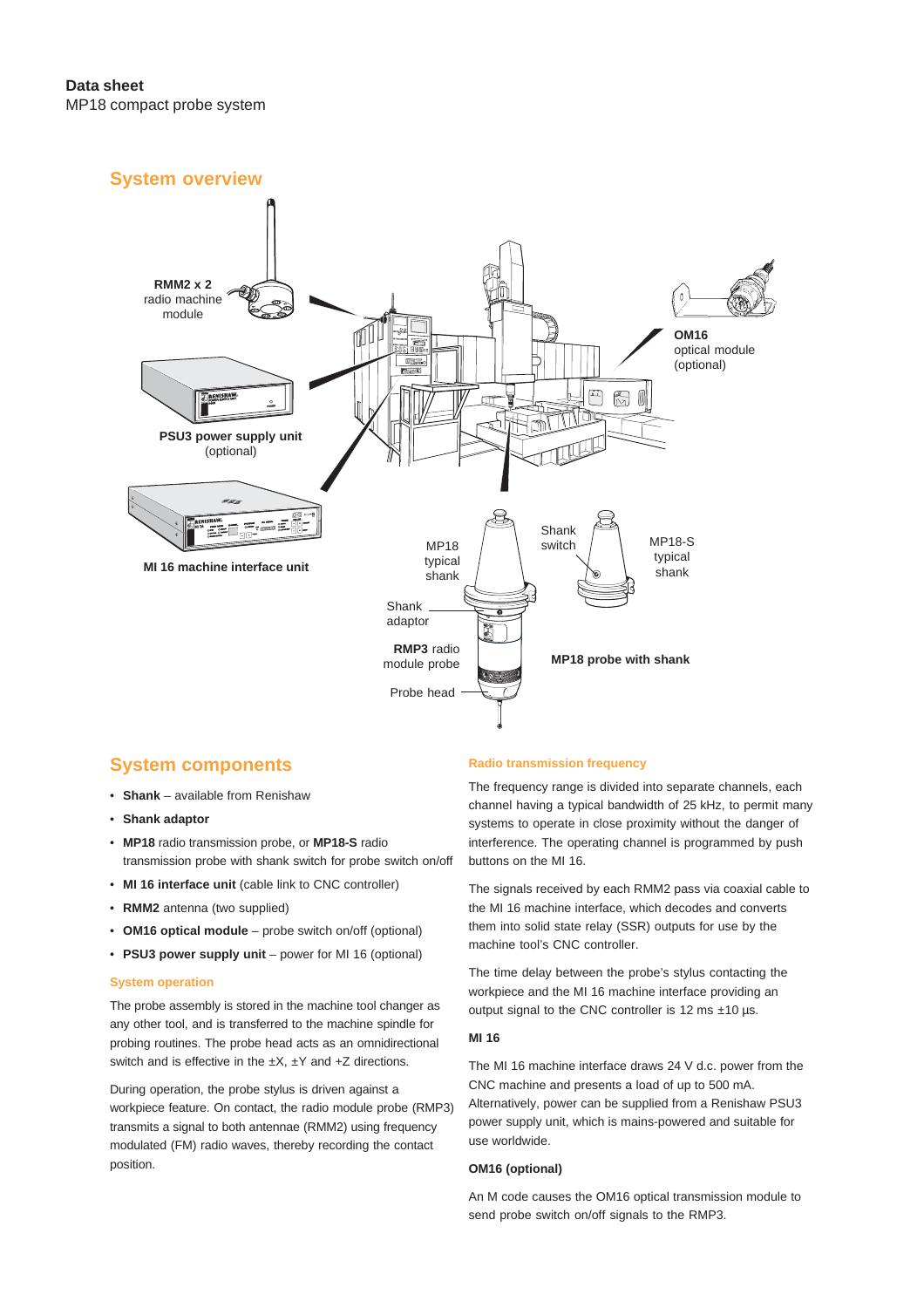#### **System overview**



#### **System components**

- **Shank** available from Renishaw
- **Shank adaptor**
- **MP18** radio transmission probe, or **MP18-S** radio transmission probe with shank switch for probe switch on/off
- **MI 16 interface unit** (cable link to CNC controller)
- **RMM2** antenna (two supplied)
- **OM16 optical module** probe switch on/off (optional)
- **PSU3 power supply unit** power for MI 16 (optional)

#### **System operation**

The probe assembly is stored in the machine tool changer as any other tool, and is transferred to the machine spindle for probing routines. The probe head acts as an omnidirectional switch and is effective in the  $\pm X$ ,  $\pm Y$  and  $\pm Z$  directions.

During operation, the probe stylus is driven against a workpiece feature. On contact, the radio module probe (RMP3) transmits a signal to both antennae (RMM2) using frequency modulated (FM) radio waves, thereby recording the contact position.

#### **Radio transmission frequency**

The frequency range is divided into separate channels, each channel having a typical bandwidth of 25 kHz, to permit many systems to operate in close proximity without the danger of interference. The operating channel is programmed by push buttons on the MI 16.

The signals received by each RMM2 pass via coaxial cable to the MI 16 machine interface, which decodes and converts them into solid state relay (SSR) outputs for use by the machine tool's CNC controller.

The time delay between the probe's stylus contacting the workpiece and the MI 16 machine interface providing an output signal to the CNC controller is 12 ms ±10 µs.

#### **MI 16**

The MI 16 machine interface draws 24 V d.c. power from the CNC machine and presents a load of up to 500 mA. Alternatively, power can be supplied from a Renishaw PSU3 power supply unit, which is mains-powered and suitable for use worldwide.

#### **OM16 (optional)**

An M code causes the OM16 optical transmission module to send probe switch on/off signals to the RMP3.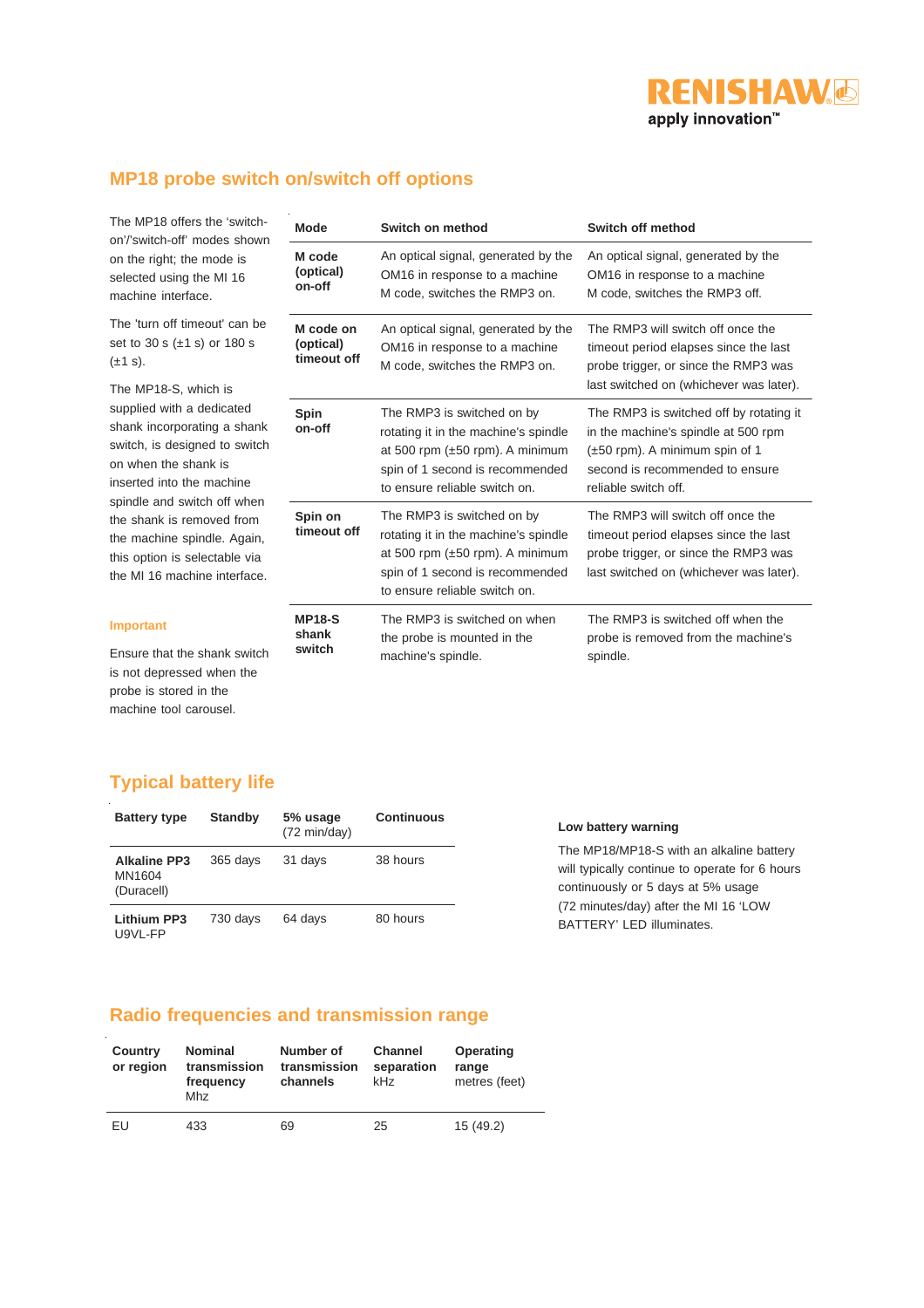# **RENISHAW** apply innovation™

## **MP18 probe switch on/switch off options**

The MP18 offers the 'switchon'/'switch-off' modes shown on the right; the mode is selected using the MI 16 machine interface.

The 'turn off timeout' can be set to 30 s (±1 s) or 180 s  $(\pm 1 s)$ .

The MP18-S, which is supplied with a dedicated shank incorporating a shank switch, is designed to switch on when the shank is inserted into the machine spindle and switch off when the shank is removed from the machine spindle. Again, this option is selectable via the MI 16 machine interface.

#### **Mode Switch on method Switch Switch** off **method M code (optical) on-off** An optical signal, generated by the OM16 in response to a machine M code, switches the RMP3 on. An optical signal, generated by the OM16 in response to a machine M code, switches the RMP3 off. **M code on (optical) timeout off** An optical signal, generated by the OM16 in response to a machine M code, switches the RMP3 on. The RMP3 will switch off once the timeout period elapses since the last probe trigger, or since the RMP3 was last switched on (whichever was later). **Spin on-off** The RMP3 is switched on by rotating it in the machine's spindle at 500 rpm (±50 rpm). A minimum spin of 1 second is recommended to ensure reliable switch on. The RMP3 is switched off by rotating it in the machine's spindle at 500 rpm (±50 rpm). A minimum spin of 1 second is recommended to ensure reliable switch off. **Spin on timeout off** The RMP3 is switched on by rotating it in the machine's spindle at 500 rpm (±50 rpm). A minimum spin of 1 second is recommended to ensure reliable switch on. The RMP3 will switch off once the timeout period elapses since the last probe trigger, or since the RMP3 was last switched on (whichever was later). **MP18-S shank switch** The RMP3 is switched on when the probe is mounted in the machine's spindle. The RMP3 is switched off when the probe is removed from the machine's spindle.

#### **Important**

Ensure that the shank switch is not depressed when the probe is stored in the machine tool carousel.

### **Typical battery life**

| <b>Battery type</b>                         | <b>Standby</b> | 5% usage<br>$(72 \text{ min/day})$ | <b>Continuous</b> | Low battery warning                                                                                                              |  |
|---------------------------------------------|----------------|------------------------------------|-------------------|----------------------------------------------------------------------------------------------------------------------------------|--|
| <b>Alkaline PP3</b><br>MN1604<br>(Duracell) | 365 days       | 31 days                            | 38 hours          | The MP18/MP18-S with an alkaline battery<br>will typically continue to operate for 6 hours<br>continuously or 5 days at 5% usage |  |
| <b>Lithium PP3</b><br>U9VL-FP               | 730 davs       | 64 davs                            | 80 hours          | (72 minutes/day) after the MI 16 'LOW<br>BATTERY' LED illuminates.                                                               |  |

### **Radio frequencies and transmission range**

| Country<br>or region | <b>Nominal</b><br>transmission<br>frequency<br>Mhz | Number of<br>transmission<br>channels | <b>Channel</b><br>separation<br>kHz | Operating<br>range<br>metres (feet) |
|----------------------|----------------------------------------------------|---------------------------------------|-------------------------------------|-------------------------------------|
| EU                   | 433                                                | 69                                    | 25                                  | 15(49.2)                            |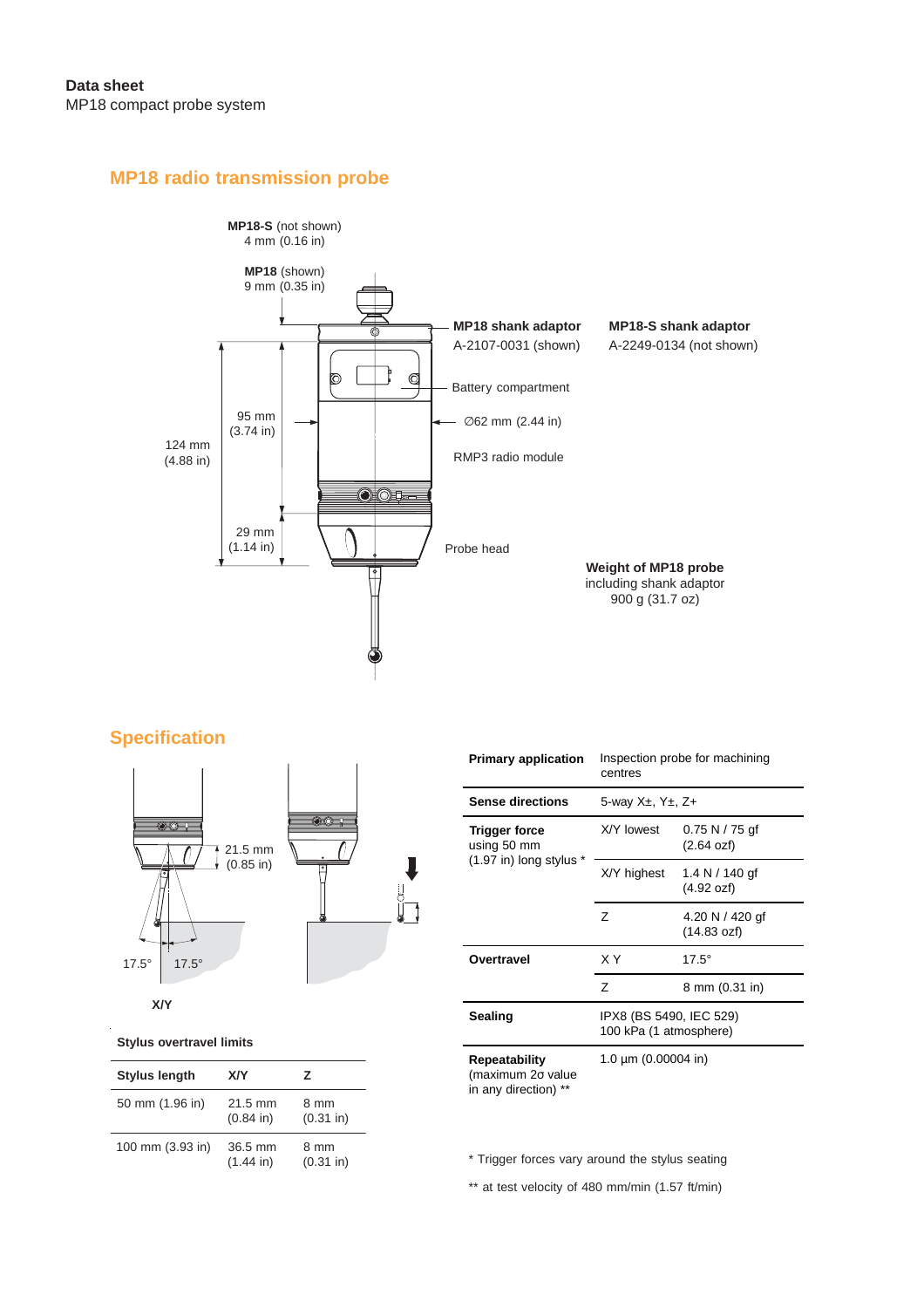### **MP18 radio transmission probe**



### **Specification**



| <b>Primary application</b>                                 | Inspection probe for machining<br>centres         |                                |  |
|------------------------------------------------------------|---------------------------------------------------|--------------------------------|--|
| <b>Sense directions</b>                                    | 5-way $X_{\pm}$ , $Y_{\pm}$ , $Z_{+}$             |                                |  |
| <b>Trigger force</b><br>using 50 mm                        | X/Y lowest                                        | 0.75 N / 75 gf<br>(2.64 ozf)   |  |
| $(1.97$ in) long stylus *                                  | X/Y highest                                       | 1.4 N $/$ 140 gf<br>(4.92 ozf) |  |
|                                                            | 7                                                 | 4.20 N / 420 gf<br>(14.83 ozf) |  |
| Overtravel                                                 | ΧY                                                | $17.5^\circ$                   |  |
|                                                            | $\overline{z}$                                    | 8 mm (0.31 in)                 |  |
| Sealing                                                    | IPX8 (BS 5490, IEC 529)<br>100 kPa (1 atmosphere) |                                |  |
| Repeatability<br>(maximum 20 value<br>in any direction) ** | 1.0 $\mu$ m (0.00004 in)                          |                                |  |

**Stylus overtravel limits**

| <b>Stylus length</b> | XIY                       | 7                    |
|----------------------|---------------------------|----------------------|
| 50 mm (1.96 in)      | $21.5$ mm<br>$(0.84)$ in) | 8 mm<br>$(0.31)$ in) |
| 100 mm (3.93 in)     | 36.5 mm<br>$(1.44$ in)    | 8 mm<br>$(0.31)$ in) |

\* Trigger forces vary around the stylus seating

\*\* at test velocity of 480 mm/min (1.57 ft/min)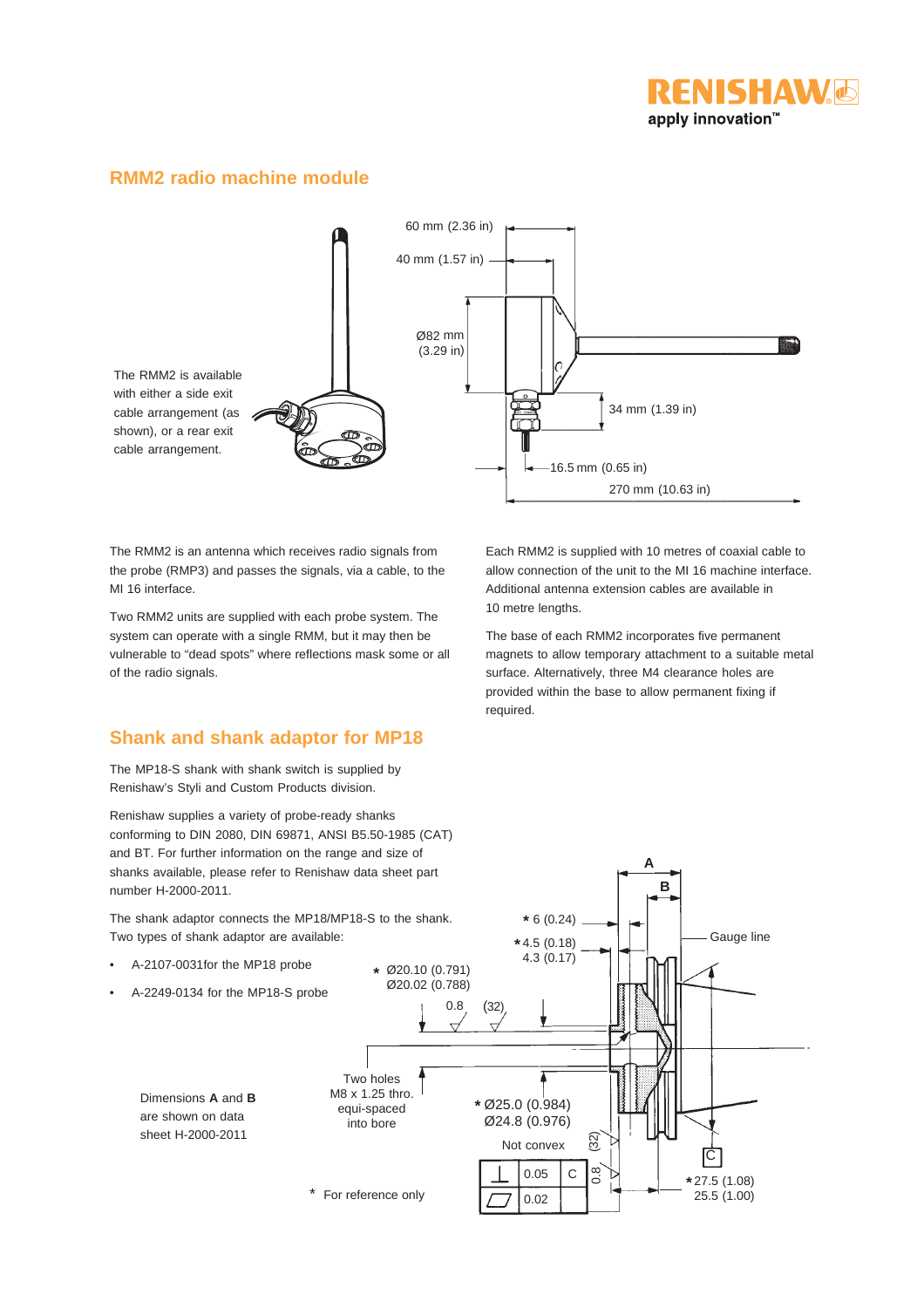

#### **RMM2 radio machine module**



The RMM2 is an antenna which receives radio signals from the probe (RMP3) and passes the signals, via a cable, to the MI 16 interface.

Two RMM2 units are supplied with each probe system. The system can operate with a single RMM, but it may then be vulnerable to "dead spots" where reflections mask some or all of the radio signals.

#### **Shank and shank adaptor for MP18**

The MP18-S shank with shank switch is supplied by Renishaw's Styli and Custom Products division.

Renishaw supplies a variety of probe-ready shanks conforming to DIN 2080, DIN 69871, ANSI B5.50-1985 (CAT) and BT. For further information on the range and size of shanks available, please refer to Renishaw data sheet part number H-2000-2011.

The shank adaptor connects the MP18/MP18-S to the shank. Two types of shank adaptor are available:

- A-2107-0031for the MP18 probe
- A-2249-0134 for the MP18-S probe

Dimensions **A** and **B** are shown on data sheet H-2000-2011

Each RMM2 is supplied with 10 metres of coaxial cable to allow connection of the unit to the MI 16 machine interface. Additional antenna extension cables are available in 10 metre lengths.

The base of each RMM2 incorporates five permanent magnets to allow temporary attachment to a suitable metal surface. Alternatively, three M4 clearance holes are provided within the base to allow permanent fixing if required.

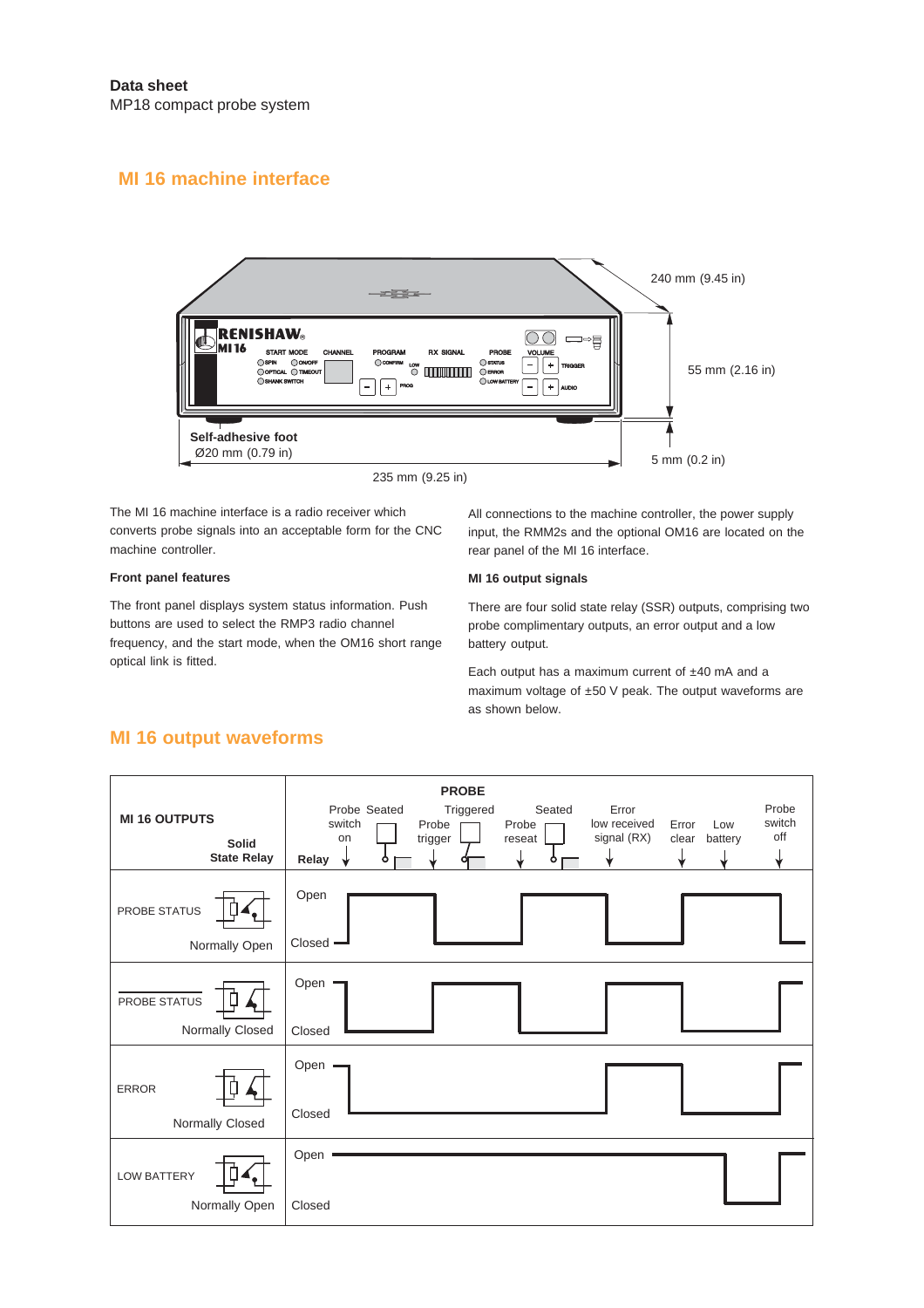### **MI 16 machine interface**



The MI 16 machine interface is a radio receiver which converts probe signals into an acceptable form for the CNC machine controller.

#### **Front panel features**

The front panel displays system status information. Push buttons are used to select the RMP3 radio channel frequency, and the start mode, when the OM16 short range optical link is fitted.

All connections to the machine controller, the power supply input, the RMM2s and the optional OM16 are located on the rear panel of the MI 16 interface.

#### **MI 16 output signals**

There are four solid state relay (SSR) outputs, comprising two probe complimentary outputs, an error output and a low battery output.

Each output has a maximum current of ±40 mA and a maximum voltage of ±50 V peak. The output waveforms are as shown below.

#### **MI 16 output waveforms**

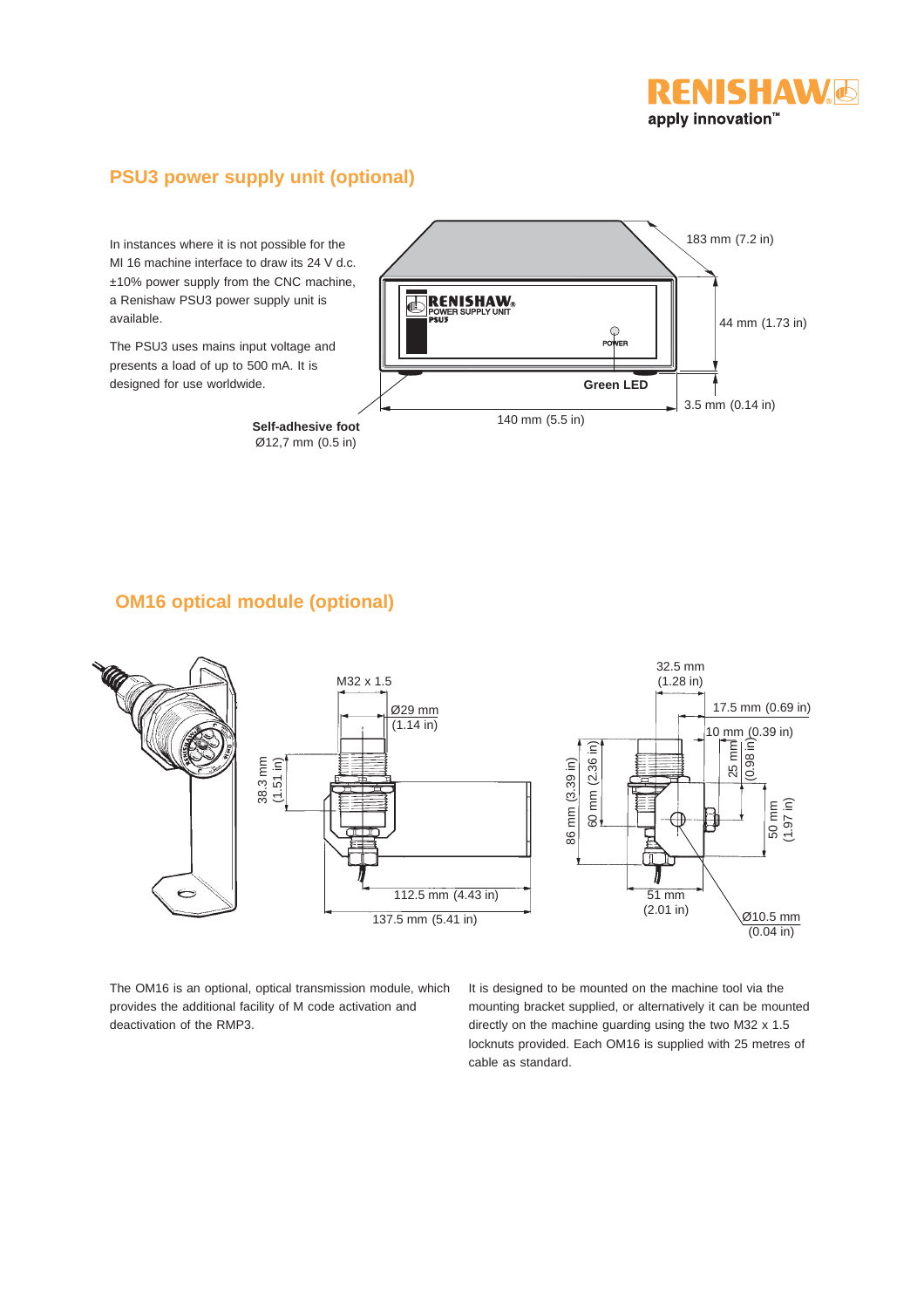

### **PSU3 power supply unit (optional)**

In instances where it is not possible for the MI 16 machine interface to draw its 24 V d.c. ±10% power supply from the CNC machine, a Renishaw PSU3 power supply unit is available.

The PSU3 uses mains input voltage and presents a load of up to 500 mA. It is designed for use worldwide.

> **Self-adhesive foot** Ø12,7 mm (0.5 in)



#### **OM16 optical module (optional)**



The OM16 is an optional, optical transmission module, which provides the additional facility of M code activation and deactivation of the RMP3.

It is designed to be mounted on the machine tool via the mounting bracket supplied, or alternatively it can be mounted directly on the machine guarding using the two M32 x 1.5 locknuts provided. Each OM16 is supplied with 25 metres of cable as standard.